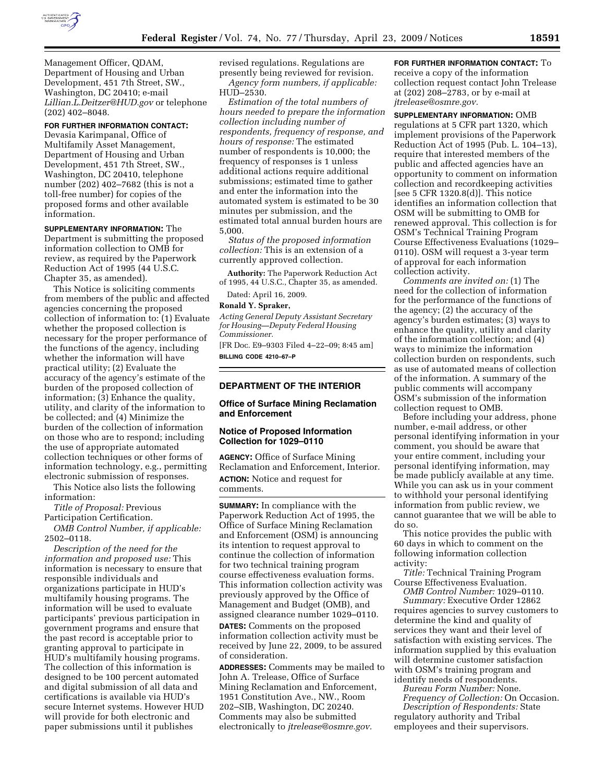

Management Officer, QDAM, Department of Housing and Urban Development, 451 7th Street, SW., Washington, DC 20410; e-mail *Lillian.L.Deitzer@HUD.gov* or telephone (202) 402–8048.

#### **FOR FURTHER INFORMATION CONTACT:**

Devasia Karimpanal, Office of Multifamily Asset Management, Department of Housing and Urban Development, 451 7th Street, SW., Washington, DC 20410, telephone number (202) 402–7682 (this is not a toll-free number) for copies of the proposed forms and other available information.

**SUPPLEMENTARY INFORMATION:** The Department is submitting the proposed information collection to OMB for review, as required by the Paperwork Reduction Act of 1995 (44 U.S.C. Chapter 35, as amended).

This Notice is soliciting comments from members of the public and affected agencies concerning the proposed collection of information to: (1) Evaluate whether the proposed collection is necessary for the proper performance of the functions of the agency, including whether the information will have practical utility; (2) Evaluate the accuracy of the agency's estimate of the burden of the proposed collection of information; (3) Enhance the quality, utility, and clarity of the information to be collected; and (4) Minimize the burden of the collection of information on those who are to respond; including the use of appropriate automated collection techniques or other forms of information technology, e.g., permitting electronic submission of responses.

This Notice also lists the following information:

*Title of Proposal:* Previous Participation Certification.

*OMB Control Number, if applicable:*  2502–0118.

*Description of the need for the information and proposed use:* This information is necessary to ensure that responsible individuals and organizations participate in HUD's multifamily housing programs. The information will be used to evaluate participants' previous participation in government programs and ensure that the past record is acceptable prior to granting approval to participate in HUD's multifamily housing programs. The collection of this information is designed to be 100 percent automated and digital submission of all data and certifications is available via HUD's secure Internet systems. However HUD will provide for both electronic and paper submissions until it publishes

revised regulations. Regulations are presently being reviewed for revision. *Agency form numbers, if applicable:*  HUD–2530.

*Estimation of the total numbers of hours needed to prepare the information collection including number of respondents, frequency of response, and hours of response:* The estimated number of respondents is 10,000; the frequency of responses is 1 unless additional actions require additional submissions; estimated time to gather and enter the information into the automated system is estimated to be 30 minutes per submission, and the estimated total annual burden hours are 5,000.

*Status of the proposed information collection:* This is an extension of a currently approved collection.

**Authority:** The Paperwork Reduction Act of 1995, 44 U.S.C., Chapter 35, as amended.

Dated: April 16, 2009.

#### **Ronald Y. Spraker,**

*Acting General Deputy Assistant Secretary for Housing—Deputy Federal Housing Commissioner.* 

[FR Doc. E9–9303 Filed 4–22–09; 8:45 am] **BILLING CODE 4210–67–P** 

### **DEPARTMENT OF THE INTERIOR**

### **Office of Surface Mining Reclamation and Enforcement**

### **Notice of Proposed Information Collection for 1029–0110**

**AGENCY:** Office of Surface Mining Reclamation and Enforcement, Interior. **ACTION:** Notice and request for comments.

**SUMMARY:** In compliance with the Paperwork Reduction Act of 1995, the Office of Surface Mining Reclamation and Enforcement (OSM) is announcing its intention to request approval to continue the collection of information for two technical training program course effectiveness evaluation forms. This information collection activity was previously approved by the Office of Management and Budget (OMB), and assigned clearance number 1029–0110. **DATES:** Comments on the proposed information collection activity must be

received by June 22, 2009, to be assured of consideration. **ADDRESSES:** Comments may be mailed to

John A. Trelease, Office of Surface Mining Reclamation and Enforcement, 1951 Constitution Ave., NW., Room 202–SIB, Washington, DC 20240. Comments may also be submitted electronically to *jtrelease@osmre.gov.* 

**FOR FURTHER INFORMATION CONTACT:** To receive a copy of the information collection request contact John Trelease at (202) 208–2783, or by e-mail at *jtrelease@osmre.gov.* 

**SUPPLEMENTARY INFORMATION:** OMB regulations at 5 CFR part 1320, which implement provisions of the Paperwork Reduction Act of 1995 (Pub. L. 104–13), require that interested members of the public and affected agencies have an opportunity to comment on information collection and recordkeeping activities [see 5 CFR 1320.8(d)]. This notice identifies an information collection that OSM will be submitting to OMB for renewed approval. This collection is for OSM's Technical Training Program Course Effectiveness Evaluations (1029– 0110). OSM will request a 3-year term of approval for each information collection activity.

*Comments are invited on:* (1) The need for the collection of information for the performance of the functions of the agency; (2) the accuracy of the agency's burden estimates; (3) ways to enhance the quality, utility and clarity of the information collection; and (4) ways to minimize the information collection burden on respondents, such as use of automated means of collection of the information. A summary of the public comments will accompany OSM's submission of the information collection request to OMB.

Before including your address, phone number, e-mail address, or other personal identifying information in your comment, you should be aware that your entire comment, including your personal identifying information, may be made publicly available at any time. While you can ask us in your comment to withhold your personal identifying information from public review, we cannot guarantee that we will be able to do so.

This notice provides the public with 60 days in which to comment on the following information collection activity:

*Title:* Technical Training Program Course Effectiveness Evaluation.

*OMB Control Number:* 1029–0110. *Summary:* Executive Order 12862

requires agencies to survey customers to determine the kind and quality of services they want and their level of satisfaction with existing services. The information supplied by this evaluation will determine customer satisfaction with OSM's training program and identify needs of respondents.

*Bureau Form Number:* None.

*Frequency of Collection:* On Occasion. *Description of Respondents:* State

regulatory authority and Tribal employees and their supervisors.